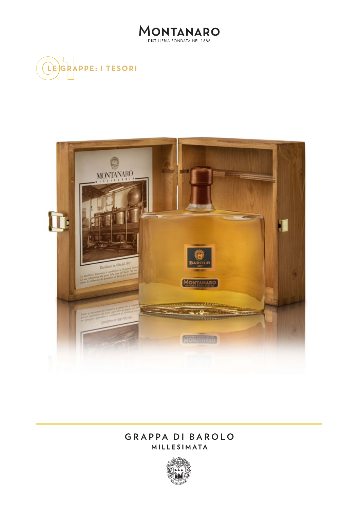





## **GRAPPA DI BAROLO MILLESIMATA**